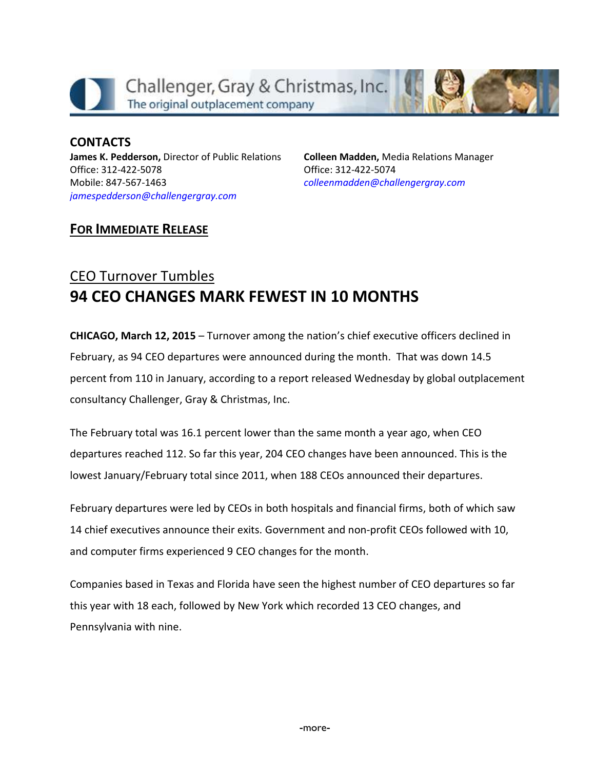

**CONTACTS James K. Pedderson,** Director of Public Relations Office: 312-422-5078 Mobile: 847-567-1463 *[jamespedderson@challengergray.com](mailto:jamespedderson@challengergray.com)*

**Colleen Madden,** Media Relations Manager Office: 312-422-5074 *[colleenmadden@challengergray.com](mailto:colleenmadden@challengergray.com)*

## **FOR IMMEDIATE RELEASE**

# CEO Turnover Tumbles **94 CEO CHANGES MARK FEWEST IN 10 MONTHS**

**CHICAGO, March 12, 2015** – Turnover among the nation's chief executive officers declined in February, as 94 CEO departures were announced during the month. That was down 14.5 percent from 110 in January, according to a report released Wednesday by global outplacement consultancy Challenger, Gray & Christmas, Inc.

The February total was 16.1 percent lower than the same month a year ago, when CEO departures reached 112. So far this year, 204 CEO changes have been announced. This is the lowest January/February total since 2011, when 188 CEOs announced their departures.

February departures were led by CEOs in both hospitals and financial firms, both of which saw 14 chief executives announce their exits. Government and non-profit CEOs followed with 10, and computer firms experienced 9 CEO changes for the month.

Companies based in Texas and Florida have seen the highest number of CEO departures so far this year with 18 each, followed by New York which recorded 13 CEO changes, and Pennsylvania with nine.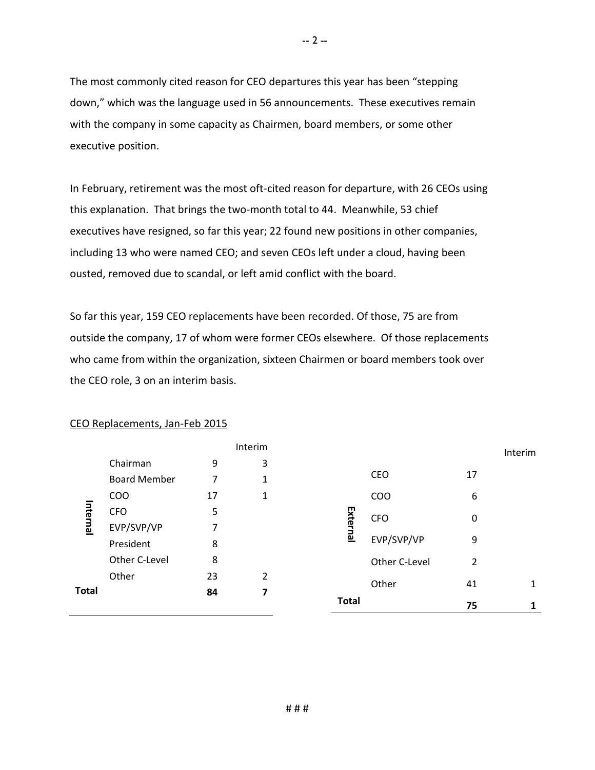The most commonly cited reason for CEO departures this year has been "stepping down," which was the language used in 56 announcements. These executives remain with the company in some capacity as Chairmen, board members, or some other executive position.

In February, retirement was the most oft-cited reason for departure, with 26 CEOs using this explanation. That brings the two-month total to 44. Meanwhile, 53 chief executives have resigned, so far this year; 22 found new positions in other companies, including 13 who were named CEO; and seven CEOs left under a cloud, having been ousted, removed due to scandal, or left amid conflict with the board.

So far this year, 159 CEO replacements have been recorded. Of those, 75 are from outside the company, 17 of whom were former CEOs elsewhere. Of those replacements who came from within the organization, sixteen Chairmen or board members took over the CEO role, 3 on an interim basis.

|              |                     |    |                | <b>Total</b> |               | 75          |         |
|--------------|---------------------|----|----------------|--------------|---------------|-------------|---------|
| <b>Total</b> |                     | 84 | 7              |              |               |             |         |
| Internal     | Other               | 23 | $\overline{2}$ |              | Other         | 41          | 1       |
|              | Other C-Level       | 8  |                |              | Other C-Level | 2           |         |
|              | President           | 8  |                |              | EVP/SVP/VP    | 9           |         |
|              | EVP/SVP/VP          | 7  |                | External     |               |             |         |
|              | <b>CFO</b>          | 5  |                |              | <b>CFO</b>    | $\mathbf 0$ |         |
|              | <b>COO</b>          | 17 | 1              |              | COO           | 6           |         |
|              | <b>Board Member</b> | 7  | 1              |              | CEO           | 17          |         |
|              | Chairman            | 9  | 3              |              |               |             |         |
|              |                     |    | Interim        |              |               |             | Interim |

#### CEO Replacements, Jan-Feb 2015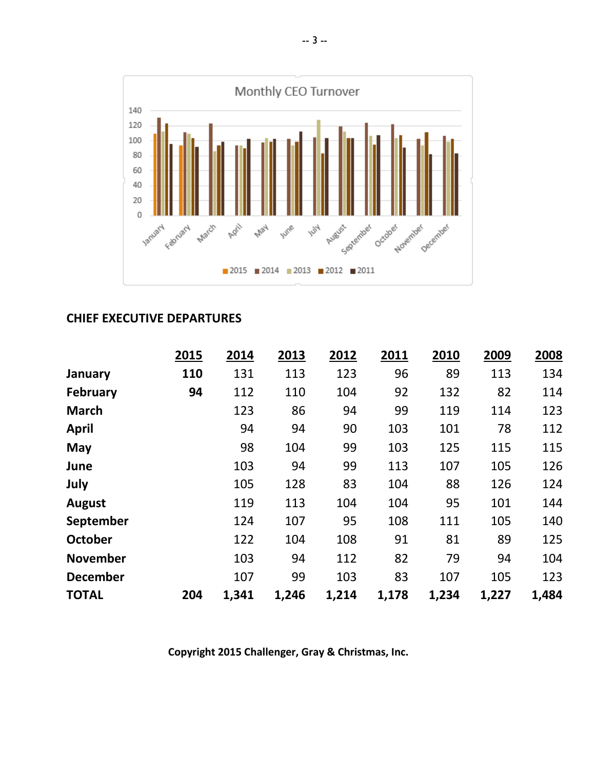

#### **CHIEF EXECUTIVE DEPARTURES**

|                 | 2015 | 2014  | 2013  | 2012  | 2011  | 2010  | 2009  | 2008  |
|-----------------|------|-------|-------|-------|-------|-------|-------|-------|
| January         | 110  | 131   | 113   | 123   | 96    | 89    | 113   | 134   |
| February        | 94   | 112   | 110   | 104   | 92    | 132   | 82    | 114   |
| <b>March</b>    |      | 123   | 86    | 94    | 99    | 119   | 114   | 123   |
| <b>April</b>    |      | 94    | 94    | 90    | 103   | 101   | 78    | 112   |
| May             |      | 98    | 104   | 99    | 103   | 125   | 115   | 115   |
| June            |      | 103   | 94    | 99    | 113   | 107   | 105   | 126   |
| July            |      | 105   | 128   | 83    | 104   | 88    | 126   | 124   |
| <b>August</b>   |      | 119   | 113   | 104   | 104   | 95    | 101   | 144   |
| September       |      | 124   | 107   | 95    | 108   | 111   | 105   | 140   |
| October         |      | 122   | 104   | 108   | 91    | 81    | 89    | 125   |
| <b>November</b> |      | 103   | 94    | 112   | 82    | 79    | 94    | 104   |
| <b>December</b> |      | 107   | 99    | 103   | 83    | 107   | 105   | 123   |
| <b>TOTAL</b>    | 204  | 1,341 | 1,246 | 1,214 | 1,178 | 1,234 | 1,227 | 1,484 |

**Copyright 2015 Challenger, Gray & Christmas, Inc.**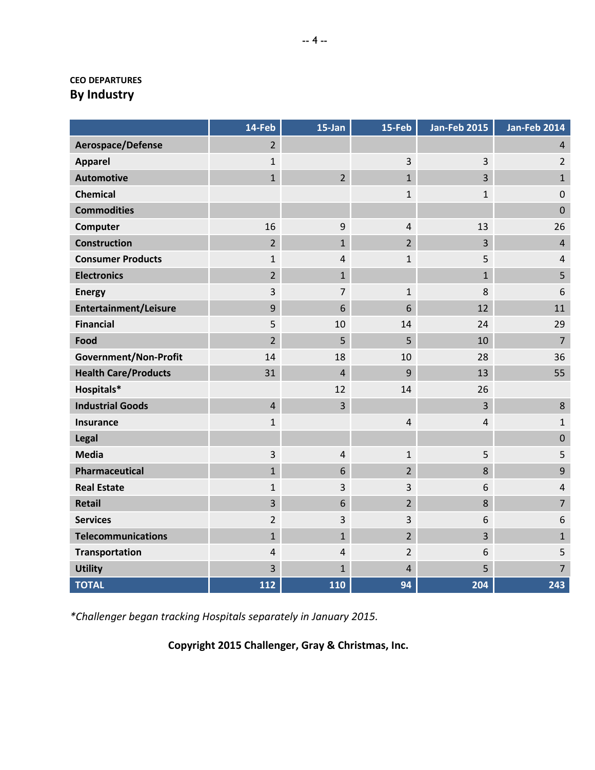#### **CEO DEPARTURES By Industry**

|                              | 14-Feb         | 15-Jan         | 15-Feb         | <b>Jan-Feb 2015</b> | <b>Jan-Feb 2014</b> |
|------------------------------|----------------|----------------|----------------|---------------------|---------------------|
| Aerospace/Defense            | $\overline{2}$ |                |                |                     | $\overline{4}$      |
| <b>Apparel</b>               | $\mathbf{1}$   |                | $\overline{3}$ | 3                   | $\overline{2}$      |
| <b>Automotive</b>            | $\mathbf{1}$   | $\overline{2}$ | $\mathbf{1}$   | $\overline{3}$      | $\mathbf{1}$        |
| <b>Chemical</b>              |                |                | $\mathbf{1}$   | $\mathbf{1}$        | $\pmb{0}$           |
| <b>Commodities</b>           |                |                |                |                     | $\pmb{0}$           |
| Computer                     | 16             | 9              | $\overline{4}$ | 13                  | 26                  |
| <b>Construction</b>          | $\overline{2}$ | $\mathbf{1}$   | $\overline{2}$ | $\overline{3}$      | $\overline{4}$      |
| <b>Consumer Products</b>     | $\mathbf 1$    | $\overline{4}$ | $\mathbf{1}$   | 5                   | $\overline{4}$      |
| <b>Electronics</b>           | $\overline{2}$ | $\overline{1}$ |                | $\mathbf{1}$        | 5                   |
| <b>Energy</b>                | 3              | 7              | $\mathbf{1}$   | 8                   | 6                   |
| Entertainment/Leisure        | 9              | 6              | 6              | 12                  | 11                  |
| <b>Financial</b>             | 5              | 10             | 14             | 24                  | 29                  |
| Food                         | $\overline{2}$ | 5              | 5              | 10                  | $\overline{7}$      |
| <b>Government/Non-Profit</b> | 14             | 18             | 10             | 28                  | 36                  |
| <b>Health Care/Products</b>  | 31             | $\overline{4}$ | 9              | 13                  | 55                  |
| Hospitals*                   |                | 12             | 14             | 26                  |                     |
| <b>Industrial Goods</b>      | $\overline{4}$ | 3              |                | $\overline{3}$      | 8                   |
| <b>Insurance</b>             | $\mathbf 1$    |                | $\sqrt{4}$     | $\overline{4}$      | $\mathbf{1}$        |
| Legal                        |                |                |                |                     | $\pmb{0}$           |
| <b>Media</b>                 | $\overline{3}$ | $\overline{4}$ | $\mathbf{1}$   | 5                   | 5                   |
| Pharmaceutical               | $\mathbf 1$    | 6              | $\overline{2}$ | $\,8\,$             | $\boldsymbol{9}$    |
| <b>Real Estate</b>           | $\mathbf 1$    | 3              | 3              | 6                   | $\overline{4}$      |
| <b>Retail</b>                | $\overline{3}$ | 6              | $\overline{2}$ | 8                   | $\overline{7}$      |
| <b>Services</b>              | $\overline{2}$ | 3              | 3              | 6                   | 6                   |
| <b>Telecommunications</b>    | $\mathbf{1}$   | $\mathbf{1}$   | $\overline{2}$ | $\overline{3}$      | $\mathbf{1}$        |
| Transportation               | $\overline{4}$ | 4              | $\overline{2}$ | 6                   | 5                   |
| <b>Utility</b>               | 3              | $\mathbf{1}$   | $\overline{4}$ | 5                   | $\overline{7}$      |
| <b>TOTAL</b>                 | 112            | 110            | 94             | 204                 | 243                 |

*\*Challenger began tracking Hospitals separately in January 2015.*

**Copyright 2015 Challenger, Gray & Christmas, Inc.**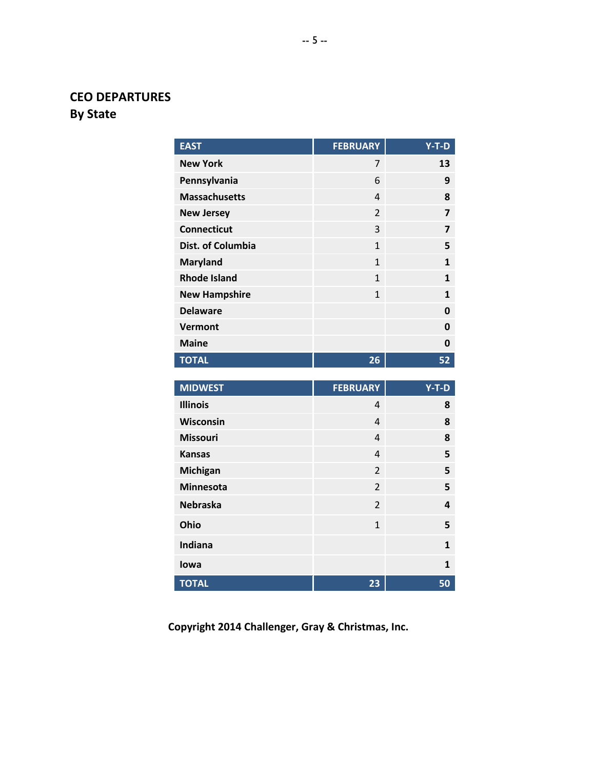## **CEO DEPARTURES By State**

| <b>EAST</b>          | <b>FEBRUARY</b> | $Y-T-D$        |
|----------------------|-----------------|----------------|
| <b>New York</b>      | 7               | 13             |
| Pennsylvania         | 6               | 9              |
| <b>Massachusetts</b> | $\overline{4}$  | 8              |
| <b>New Jersey</b>    | $\overline{2}$  | $\overline{z}$ |
| <b>Connecticut</b>   | 3               | $\overline{z}$ |
| Dist. of Columbia    | $\mathbf{1}$    | 5              |
| <b>Maryland</b>      | $\mathbf{1}$    | $\mathbf{1}$   |
| <b>Rhode Island</b>  | $\mathbf{1}$    | $\mathbf{1}$   |
| <b>New Hampshire</b> | $\mathbf{1}$    | $\mathbf{1}$   |
| <b>Delaware</b>      |                 | 0              |
| <b>Vermont</b>       |                 | 0              |
| <b>Maine</b>         |                 | 0              |
| <b>TOTAL</b>         | 26              | 52             |
|                      |                 |                |
| <b>MIDWEST</b>       | <b>FEBRUARY</b> | $Y-T-D$        |
| <b>Illinois</b>      | $\overline{4}$  | 8              |
| Wisconsin            | $\overline{4}$  | 8              |
| <b>Missouri</b>      | $\overline{4}$  | 8              |
| <b>Kansas</b>        | $\overline{4}$  | 5              |
| <b>Michigan</b>      | $\overline{2}$  | 5              |
| <b>Minnesota</b>     | $\overline{2}$  | 5              |
| <b>Nebraska</b>      | $\overline{2}$  | 4              |
| Ohio                 | $\mathbf{1}$    | 5              |
| Indiana              |                 | $\mathbf{1}$   |

**Copyright 2014 Challenger, Gray & Christmas, Inc.**

**Iowa 1 TOTAL 23 50**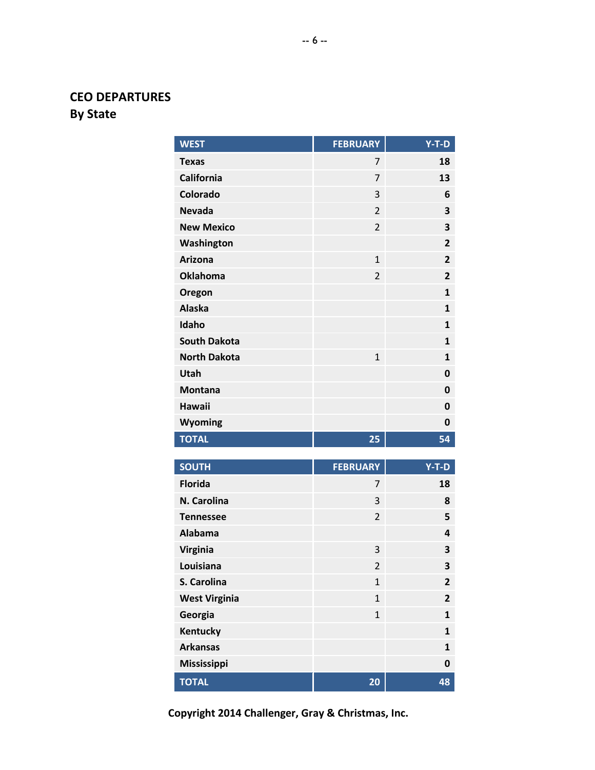## **CEO DEPARTURES By State**

| <b>WEST</b>                 | <b>FEBRUARY</b> | $Y-T-D$        |
|-----------------------------|-----------------|----------------|
| <b>Texas</b>                | 7               | 18             |
| <b>California</b>           | 7               | 13             |
| Colorado                    | 3               | 6              |
| <b>Nevada</b>               | $\overline{2}$  | 3              |
| <b>New Mexico</b>           | $\overline{2}$  | 3              |
| Washington                  |                 | $\overline{2}$ |
| <b>Arizona</b>              | $\mathbf{1}$    | $\overline{2}$ |
| <b>Oklahoma</b>             | $\overline{2}$  | $\overline{2}$ |
| Oregon                      |                 | $\mathbf{1}$   |
| <b>Alaska</b>               |                 | $\mathbf{1}$   |
| Idaho                       |                 | $\mathbf{1}$   |
| <b>South Dakota</b>         |                 | $\mathbf{1}$   |
| <b>North Dakota</b>         | $\mathbf{1}$    | $\mathbf{1}$   |
| Utah                        |                 | $\mathbf 0$    |
| <b>Montana</b>              |                 | 0              |
| <b>Hawaii</b>               |                 | 0              |
| Wyoming                     |                 | 0              |
| <b>TOTAL</b>                | 25              | 54             |
|                             |                 |                |
| <b>SOUTH</b>                | <b>FEBRUARY</b> | $Y-T-D$        |
| <b>Florida</b>              | 7               | 18             |
| N. Carolina                 | 3               | 8              |
| <b>Tennessee</b>            | $\overline{2}$  | 5              |
| <b>Alabama</b>              |                 | 4              |
| Virginia<br>Louisiana       | 3               | 3              |
| S. Carolina                 | $\overline{2}$  | 3              |
|                             | $\mathbf{1}$    | 2              |
| <b>West Virginia</b>        | $\mathbf{1}$    | 2              |
| Georgia                     | $\mathbf{1}$    | 1              |
| Kentucky<br><b>Arkansas</b> |                 | 1              |
|                             |                 | $\mathbf{1}$   |
| <b>Mississippi</b>          |                 | 0              |
| <b>TOTAL</b>                | 20              | 48             |

**Copyright 2014 Challenger, Gray & Christmas, Inc.**